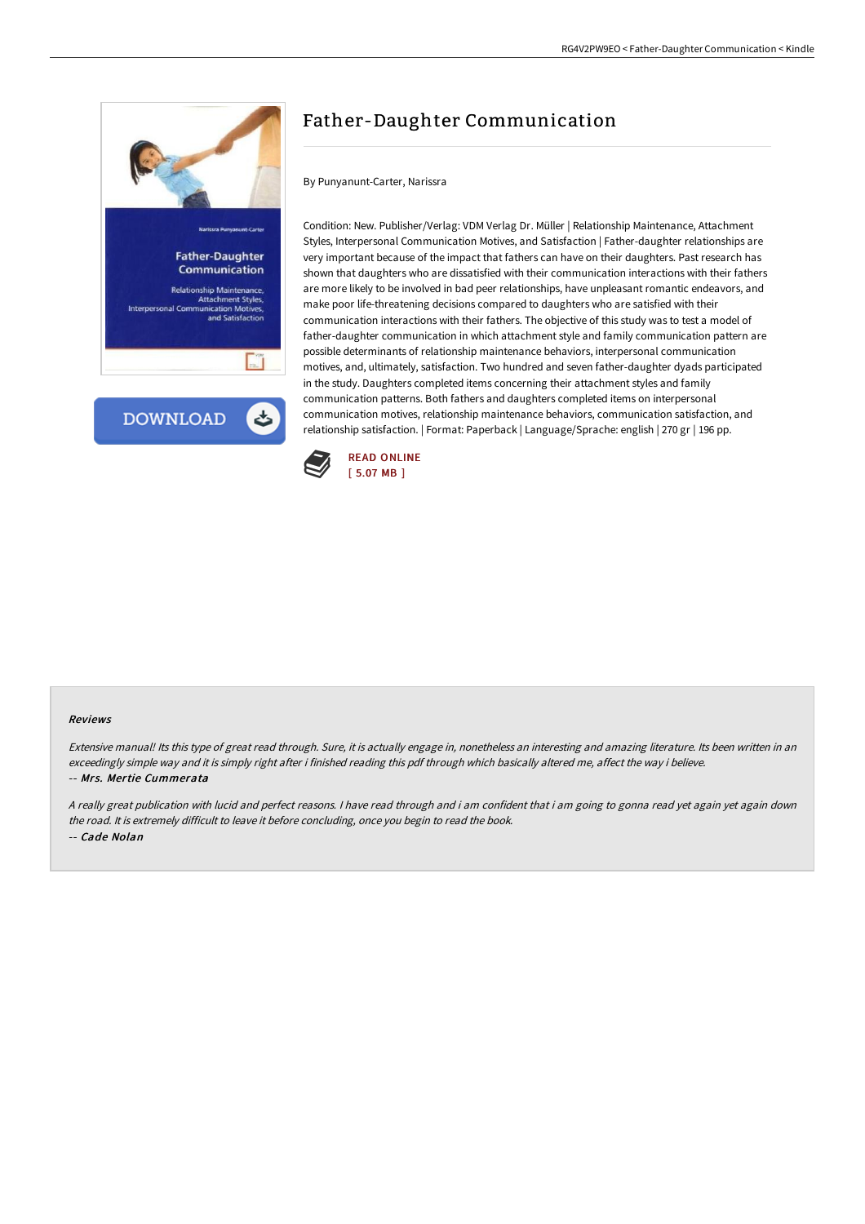

**DOWNLOAD** 

# Father-Daughter Communication

By Punyanunt-Carter, Narissra

Condition: New. Publisher/Verlag: VDM Verlag Dr. Müller | Relationship Maintenance, Attachment Styles, Interpersonal Communication Motives, and Satisfaction | Father-daughter relationships are very important because of the impact that fathers can have on their daughters. Past research has shown that daughters who are dissatisfied with their communication interactions with their fathers are more likely to be involved in bad peer relationships, have unpleasant romantic endeavors, and make poor life-threatening decisions compared to daughters who are satisfied with their communication interactions with their fathers. The objective of this study was to test a model of father-daughter communication in which attachment style and family communication pattern are possible determinants of relationship maintenance behaviors, interpersonal communication motives, and, ultimately, satisfaction. Two hundred and seven father-daughter dyads participated in the study. Daughters completed items concerning their attachment styles and family communication patterns. Both fathers and daughters completed items on interpersonal communication motives, relationship maintenance behaviors, communication satisfaction, and relationship satisfaction. | Format: Paperback | Language/Sprache: english | 270 gr | 196 pp.



#### Reviews

Extensive manual! Its this type of great read through. Sure, it is actually engage in, nonetheless an interesting and amazing literature. Its been written in an exceedingly simple way and it is simply right after i finished reading this pdf through which basically altered me, affect the way i believe. -- Mrs. Mertie Cummerata

<sup>A</sup> really great publication with lucid and perfect reasons. <sup>I</sup> have read through and i am confident that i am going to gonna read yet again yet again down the road. It is extremely difficult to leave it before concluding, once you begin to read the book. -- Cade Nolan